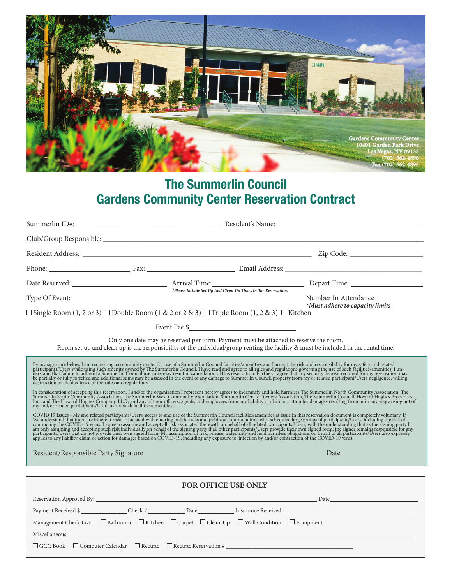

## **The Summerlin Council Gardens Community Center Reservation Contract**

|                                                                                                                                                                                                                                                                                                                                                                                                                                                                                                                                                                                                                                                                                                     | $\Box$ Single Room (1, 2 or 3) $\Box$ Double Room (1 & 2 or 2 & 3) $\Box$ Triple Room (1, 2 & 3) $\Box$ Kitchen                              |                                                                                                                                                                                                                                                                                                                                                                                                                                                                                                                                         | *Must adhere to capacity limits                                                                                                    |  |  |  |  |
|-----------------------------------------------------------------------------------------------------------------------------------------------------------------------------------------------------------------------------------------------------------------------------------------------------------------------------------------------------------------------------------------------------------------------------------------------------------------------------------------------------------------------------------------------------------------------------------------------------------------------------------------------------------------------------------------------------|----------------------------------------------------------------------------------------------------------------------------------------------|-----------------------------------------------------------------------------------------------------------------------------------------------------------------------------------------------------------------------------------------------------------------------------------------------------------------------------------------------------------------------------------------------------------------------------------------------------------------------------------------------------------------------------------------|------------------------------------------------------------------------------------------------------------------------------------|--|--|--|--|
|                                                                                                                                                                                                                                                                                                                                                                                                                                                                                                                                                                                                                                                                                                     | Only one date may be reserved per form. Payment must be attached to reserve the room.                                                        | $\textbf{Event} \ \textbf{Fee} \ \textcolor{red}{\$ \underline{\hspace{1cm}} \textcolor{red}{\textbf{5}} \textcolor{red}{\textbf{1}} \textcolor{red}{\textbf{1}} \textcolor{red}{\textbf{1}} \textcolor{red}{\textbf{1}} \textcolor{red}{\textbf{1}} \textcolor{red}{\textbf{1}} \textcolor{red}{\textbf{1}} \textcolor{red}{\textbf{1}} \textcolor{red}{\textbf{1}} \textcolor{red}{\textbf{1}} \textcolor{red}{\textbf{1}} \textcolor{red}{\textbf{1}} \textcolor{red}{\textbf{1}} \textcolor{red}{\textbf{1}} \textcolor{red}{\text$ | Room set up and clean up is the responsibility of the individual/group renting the facility & must be included in the rental time. |  |  |  |  |
| By my signature below, I am requesting a community center for use of a Summerlin Council facilities/amenities and I accept the risk and responsibility for my safety and related participants/Users while using such amenity o<br>In consideration of accepting this reservation, I and/or the organization I represent hereby agrees to indemnify and hold harmless The Summerlin North Community Association, The Summerlin North Community Association, The<br>COVID 19 Issues - My and related participants/Users' access to and use of the Summerlin Council facilities/amenities at issue in this reservation document is completely voluntary. I/<br>We understand that there are inherent r |                                                                                                                                              |                                                                                                                                                                                                                                                                                                                                                                                                                                                                                                                                         |                                                                                                                                    |  |  |  |  |
| FOR OFFICE USE ONLY                                                                                                                                                                                                                                                                                                                                                                                                                                                                                                                                                                                                                                                                                 |                                                                                                                                              |                                                                                                                                                                                                                                                                                                                                                                                                                                                                                                                                         |                                                                                                                                    |  |  |  |  |
|                                                                                                                                                                                                                                                                                                                                                                                                                                                                                                                                                                                                                                                                                                     | Management Check List: $\square$ Bathroom $\square$ Kitchen $\square$ Carpet $\square$ Clean-Up $\square$ Wall Condition $\square$ Equipment |                                                                                                                                                                                                                                                                                                                                                                                                                                                                                                                                         | Payment Received \$                                                                                                                |  |  |  |  |
|                                                                                                                                                                                                                                                                                                                                                                                                                                                                                                                                                                                                                                                                                                     | □ GCC Book □ Computer Calendar □ Rectrac □ Rectrac Reservation # __________________________________                                          |                                                                                                                                                                                                                                                                                                                                                                                                                                                                                                                                         |                                                                                                                                    |  |  |  |  |